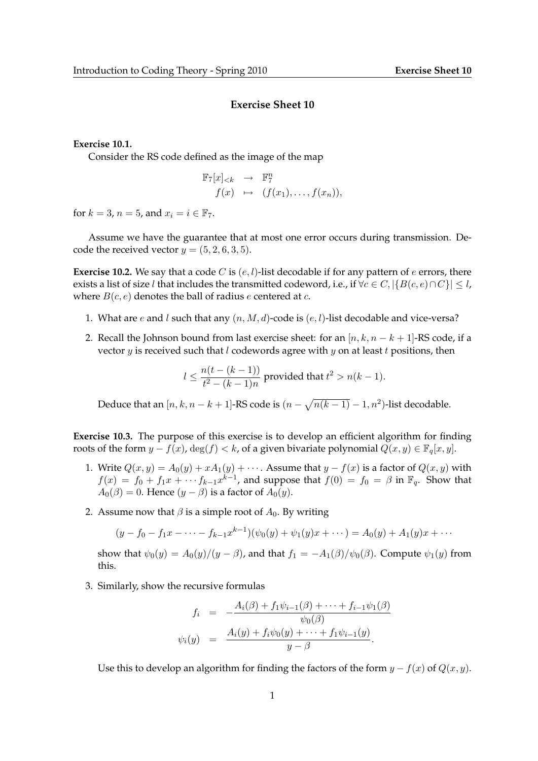## **Exercise Sheet 10**

**Exercise 10.1.**

Consider the RS code defined as the image of the map

$$
\mathbb{F}_7[x]_{  

$$
f(x) \rightarrow (f(x_1), \dots, f(x_n)),
$$
$$

for  $k = 3$ ,  $n = 5$ , and  $x_i = i \in \mathbb{F}_7$ .

Assume we have the guarantee that at most one error occurs during transmission. Decode the received vector  $y = (5, 2, 6, 3, 5)$ .

**Exercise 10.2.** We say that a code C is  $(e, l)$ -list decodable if for any pattern of  $e$  errors, there exists a list of size l that includes the transmitted codeword, i.e., if  $\forall c \in C, |\{B(c, e) \cap C\}| \leq l$ , where  $B(c, e)$  denotes the ball of radius e centered at c.

- 1. What are e and l such that any  $(n, M, d)$ -code is  $(e, l)$ -list decodable and vice-versa?
- 2. Recall the Johnson bound from last exercise sheet: for an  $[n, k, n k + 1]$ -RS code, if a vector  $y$  is received such that  $l$  codewords agree with  $y$  on at least  $t$  positions, then

$$
l \le \frac{n(t-(k-1))}{t^2-(k-1)n}
$$
 provided that  $t^2 > n(k-1)$ .

Deduce that an  $[n, k, n - k + 1]$ -RS code is  $(n - \sqrt{n(k-1)} - 1, n^2)$ -list decodable.

**Exercise 10.3.** The purpose of this exercise is to develop an efficient algorithm for finding roots of the form  $y - f(x)$ ,  $\deg(f) < k$ , of a given bivariate polynomial  $Q(x, y) \in \mathbb{F}_q[x, y]$ .

- 1. Write  $Q(x, y) = A_0(y) + xA_1(y) + \cdots$ . Assume that  $y f(x)$  is a factor of  $Q(x, y)$  with  $f(x) = f_0 + f_1 x + \cdots + f_{k-1} x^{k-1}$ , and suppose that  $f(0) = f_0 = \beta$  in  $\mathbb{F}_q$ . Show that  $A_0(\beta) = 0$ . Hence  $(y - \beta)$  is a factor of  $A_0(y)$ .
- 2. Assume now that  $\beta$  is a simple root of  $A_0$ . By writing

$$
(y - f_0 - f_1 x - \dots - f_{k-1} x^{k-1})(\psi_0(y) + \psi_1(y) x + \dots) = A_0(y) + A_1(y) x + \dots
$$

show that  $\psi_0(y) = A_0(y)/(y - \beta)$ , and that  $f_1 = -A_1(\beta)/\psi_0(\beta)$ . Compute  $\psi_1(y)$  from this.

3. Similarly, show the recursive formulas

$$
f_i = -\frac{A_i(\beta) + f_1\psi_{i-1}(\beta) + \dots + f_{i-1}\psi_1(\beta)}{\psi_0(\beta)}
$$
  

$$
\psi_i(y) = \frac{A_i(y) + f_i\psi_0(y) + \dots + f_1\psi_{i-1}(y)}{y - \beta}.
$$

Use this to develop an algorithm for finding the factors of the form  $y - f(x)$  of  $Q(x, y)$ .